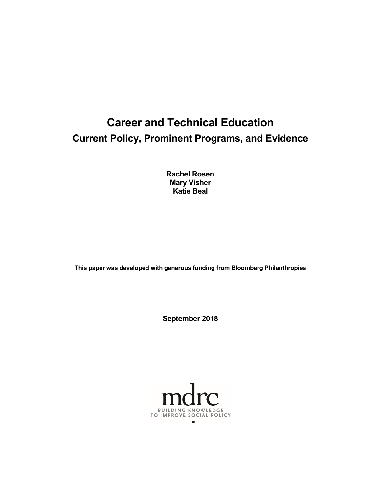# **Career and Technical Education Current Policy, Prominent Programs, and Evidence**

**Rachel Rosen Mary Visher Katie Beal** 

**This paper was developed with generous funding from Bloomberg Philanthropies**

**September 2018**

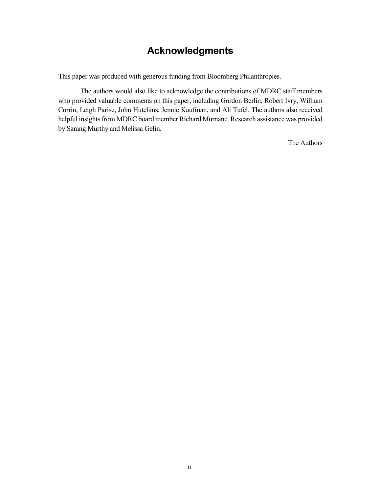## **Acknowledgments**

This paper was produced with generous funding from Bloomberg Philanthropies.

The authors would also like to acknowledge the contributions of MDRC staff members who provided valuable comments on this paper, including Gordon Berlin, Robert Ivry, William Corrin, Leigh Parise, John Hutchins, Jennie Kaufman, and Ali Tufel. The authors also received helpful insights from MDRC board member Richard Murnane. Research assistance was provided by Sarang Murthy and Melissa Gelin.

The Authors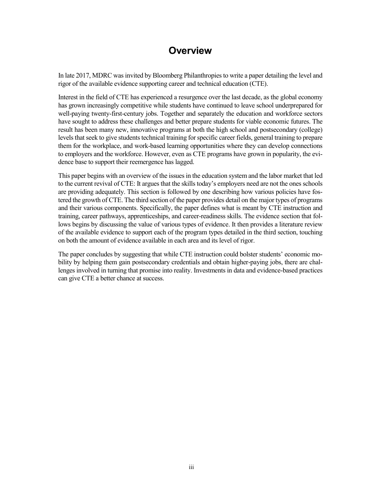## **Overview**

In late 2017, MDRC was invited by Bloomberg Philanthropies to write a paper detailing the level and rigor of the available evidence supporting career and technical education (CTE).

Interest in the field of CTE has experienced a resurgence over the last decade, as the global economy has grown increasingly competitive while students have continued to leave school underprepared for well-paying twenty-first-century jobs. Together and separately the education and workforce sectors have sought to address these challenges and better prepare students for viable economic futures. The result has been many new, innovative programs at both the high school and postsecondary (college) levels that seek to give students technical training for specific career fields, general training to prepare them for the workplace, and work-based learning opportunities where they can develop connections to employers and the workforce. However, even as CTE programs have grown in popularity, the evidence base to support their reemergence has lagged.

This paper begins with an overview of the issues in the education system and the labor market that led to the current revival of CTE: It argues that the skills today's employers need are not the ones schools are providing adequately. This section is followed by one describing how various policies have fostered the growth of CTE. The third section of the paper provides detail on the major types of programs and their various components. Specifically, the paper defines what is meant by CTE instruction and training, career pathways, apprenticeships, and career-readiness skills. The evidence section that follows begins by discussing the value of various types of evidence. It then provides a literature review of the available evidence to support each of the program types detailed in the third section, touching on both the amount of evidence available in each area and its level of rigor.

The paper concludes by suggesting that while CTE instruction could bolster students' economic mobility by helping them gain postsecondary credentials and obtain higher-paying jobs, there are challenges involved in turning that promise into reality. Investments in data and evidence-based practices can give CTE a better chance at success.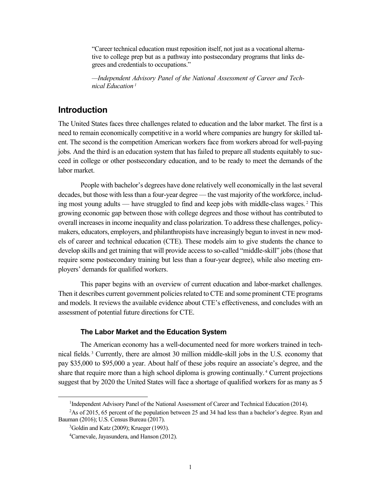"Career technical education must reposition itself, not just as a vocational alternative to college prep but as a pathway into postsecondary programs that links degrees and credentials to occupations."

*—Independent Advisory Panel of the National Assessment of Career and Technical Education [1](#page-4-0)*

### **Introduction**

The United States faces three challenges related to education and the labor market. The first is a need to remain economically competitive in a world where companies are hungry for skilled talent. The second is the competition American workers face from workers abroad for well-paying jobs. And the third is an education system that has failed to prepare all students equitably to succeed in college or other postsecondary education, and to be ready to meet the demands of the labor market.

People with bachelor's degrees have done relatively well economically in the last several decades, but those with less than a four-year degree — the vast majority of the workforce, including most young adults — have struggled to find and keep jobs with middle-class wages. [2](#page-4-1) This growing economic gap between those with college degrees and those without has contributed to overall increases in income inequality and class polarization. To address these challenges, policymakers, educators, employers, and philanthropists have increasingly begun to invest in new models of career and technical education (CTE). These models aim to give students the chance to develop skills and get training that will provide access to so-called "middle-skill" jobs (those that require some postsecondary training but less than a four-year degree), while also meeting employers' demands for qualified workers.

This paper begins with an overview of current education and labor-market challenges. Then it describes current government policies related to CTE and some prominent CTE programs and models. It reviews the available evidence about CTE's effectiveness, and concludes with an assessment of potential future directions for CTE.

#### **The Labor Market and the Education System**

The American economy has a well-documented need for more workers trained in technical fields. [3](#page-4-2) Currently, there are almost 30 million middle-skill jobs in the U.S. economy that pay \$35,000 to \$95,000 a year. About half of these jobs require an associate's degree, and the share that require more than a high school diploma is growing continually. [4](#page-4-3) Current projections suggest that by 2020 the United States will face a shortage of qualified workers for as many as 5

<sup>&</sup>lt;sup>1</sup>Independent Advisory Panel of the National Assessment of Career and Technical Education (2014).

<span id="page-4-3"></span><span id="page-4-2"></span><span id="page-4-1"></span><span id="page-4-0"></span><sup>2</sup> As of 2015, 65 percent of the population between 25 and 34 had less than a bachelor's degree. Ryan and Bauman (2016); U.S. Census Bureau (2017).

<sup>3</sup> Goldin and Katz (2009); Krueger (1993).

<sup>4</sup> Carnevale, Jayasundera, and Hanson (2012).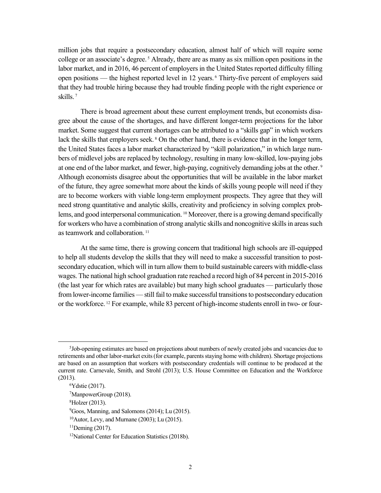million jobs that require a postsecondary education, almost half of which will require some college or an associate's degree. [5](#page-5-0) Already, there are as many as six million open positions in the labor market, and in 2016, 46 percent of employers in the United States reported difficulty filling open positions — the highest reported level in 12 years. [6](#page-5-1) Thirty-five percent of employers said that they had trouble hiring because they had trouble finding people with the right experience or skills. [7](#page-5-2)

There is broad agreement about these current employment trends, but economists disagree about the cause of the shortages, and have different longer-term projections for the labor market. Some suggest that current shortages can be attributed to a "skills gap" in which workers lack the skills that employers seek. <sup>[8](#page-5-3)</sup> On the other hand, there is evidence that in the longer term, the United States faces a labor market characterized by "skill polarization," in which large numbers of midlevel jobs are replaced by technology, resulting in many low-skilled, low-paying jobs at one end of the labor market, and fewer, high-paying, cognitively demanding jobs at the other. [9](#page-5-4) Although economists disagree about the opportunities that will be available in the labor market of the future, they agree somewhat more about the kinds of skills young people will need if they are to become workers with viable long-term employment prospects. They agree that they will need strong quantitative and analytic skills, creativity and proficiency in solving complex prob-lems, and good interpersonal communication. <sup>[10](#page-5-5)</sup> Moreover, there is a growing demand specifically for workers who have a combination of strong analytic skills and noncognitive skills in areas such as teamwork and collaboration.<sup>[11](#page-5-6)</sup>

At the same time, there is growing concern that traditional high schools are ill-equipped to help all students develop the skills that they will need to make a successful transition to postsecondary education, which will in turn allow them to build sustainable careers with middle-class wages. The national high school graduation rate reached a record high of 84 percent in 2015-2016 (the last year for which rates are available) but many high school graduates — particularly those from lower-income families — still fail to make successful transitions to postsecondary education or the workforce. [12](#page-5-7) For example, while 83 percent of high-income students enroll in two- or four-

<span id="page-5-1"></span><span id="page-5-0"></span><sup>5</sup> Job-opening estimates are based on projections about numbers of newly created jobs and vacancies due to retirements and other labor-market exits (for example, parents staying home with children). Shortage projections are based on an assumption that workers with postsecondary credentials will continue to be produced at the current rate. Carnevale, Smith, and Strohl (2013); U.S. House Committee on Education and the Workforce (2013).

<span id="page-5-2"></span><sup>6</sup> Ydstie (2017).

<sup>7</sup> ManpowerGroup (2018).

<span id="page-5-3"></span><sup>8</sup> Holzer (2013).

<span id="page-5-4"></span><sup>9</sup> Goos, Manning, and Salomons (2014); Lu (2015).

<span id="page-5-5"></span> $10$ Autor, Levy, and Murnane (2003); Lu (2015).

<span id="page-5-6"></span> $11$ Deming (2017).

<span id="page-5-7"></span><sup>12</sup>National Center for Education Statistics (2018b).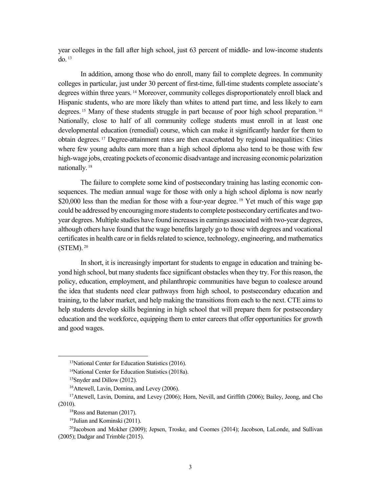year colleges in the fall after high school, just 63 percent of middle- and low-income students do. [13](#page-6-0)

In addition, among those who do enroll, many fail to complete degrees. In community colleges in particular, just under 30 percent of first-time, full-time students complete associate's degrees within three years. [14](#page-6-1) Moreover, community colleges disproportionately enroll black and Hispanic students, who are more likely than whites to attend part time, and less likely to earn degrees. <sup>[15](#page-6-2)</sup> Many of these students struggle in part because of poor high school preparation. <sup>[16](#page-6-3)</sup> Nationally, close to half of all community college students must enroll in at least one developmental education (remedial) course, which can make it significantly harder for them to obtain degrees. [17](#page-6-4) Degree-attainment rates are then exacerbated by regional inequalities: Cities where few young adults earn more than a high school diploma also tend to be those with few high-wage jobs, creating pockets of economic disadvantage and increasing economic polarization nationally. [18](#page-6-5)

The failure to complete some kind of postsecondary training has lasting economic consequences. The median annual wage for those with only a high school diploma is now nearly \$20,000 less than the median for those with a four-year degree. <sup>[19](#page-6-6)</sup> Yet much of this wage gap could be addressed by encouraging more students to complete postsecondary certificates and twoyear degrees. Multiple studies have found increases in earnings associated with two-year degrees, although others have found that the wage benefits largely go to those with degrees and vocational certificates in health care or in fields related to science, technology, engineering, and mathematics (STEM). [20](#page-6-7)

In short, it is increasingly important for students to engage in education and training beyond high school, but many students face significant obstacles when they try. For this reason, the policy, education, employment, and philanthropic communities have begun to coalesce around the idea that students need clear pathways from high school, to postsecondary education and training, to the labor market, and help making the transitions from each to the next. CTE aims to help students develop skills beginning in high school that will prepare them for postsecondary education and the workforce, equipping them to enter careers that offer opportunities for growth and good wages.

<sup>&</sup>lt;sup>13</sup>National Center for Education Statistics (2016).

<sup>14</sup>National Center for Education Statistics (2018a).

<sup>15</sup>Snyder and Dillow (2012).

<span id="page-6-4"></span><span id="page-6-3"></span><span id="page-6-2"></span><span id="page-6-1"></span><span id="page-6-0"></span><sup>&</sup>lt;sup>16</sup>Attewell, Lavin, Domina, and Levey (2006).<br><sup>17</sup>Attewell, Lavin, Domina, and Levey (2006); Horn, Nevill, and Griffith (2006); Bailey, Jeong, and Cho (2010).

<sup>&</sup>lt;sup>18</sup>Ross and Bateman (2017).<br><sup>19</sup>Julian and Kominski (2011).

<span id="page-6-7"></span><span id="page-6-6"></span><span id="page-6-5"></span><sup>&</sup>lt;sup>20</sup>Jacobson and Mokher (2009); Jepsen, Troske, and Coomes (2014); Jacobson, LaLonde, and Sullivan (2005); Dadgar and Trimble (2015).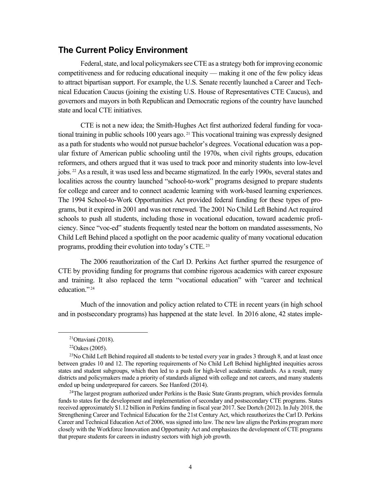### **The Current Policy Environment**

Federal, state, and local policymakers see CTE as a strategy both for improving economic competitiveness and for reducing educational inequity — making it one of the few policy ideas to attract bipartisan support. For example, the U.S. Senate recently launched a Career and Technical Education Caucus (joining the existing U.S. House of Representatives CTE Caucus), and governors and mayors in both Republican and Democratic regions of the country have launched state and local CTE initiatives.

CTE is not a new idea; the Smith-Hughes Act first authorized federal funding for vocational training in public schools 100 years ago.  $2<sup>1</sup>$  This vocational training was expressly designed as a path for students who would not pursue bachelor's degrees. Vocational education was a popular fixture of American public schooling until the 1970s, when civil rights groups, education reformers, and others argued that it was used to track poor and minority students into low-level jobs. [22](#page-7-1) As a result, it was used less and became stigmatized. In the early 1990s, several states and localities across the country launched "school-to-work" programs designed to prepare students for college and career and to connect academic learning with work-based learning experiences. The 1994 School-to-Work Opportunities Act provided federal funding for these types of programs, but it expired in 2001 and was not renewed. The 2001 No Child Left Behind Act required schools to push all students, including those in vocational education, toward academic proficiency. Since "voc-ed" students frequently tested near the bottom on mandated assessments, No Child Left Behind placed a spotlight on the poor academic quality of many vocational education programs, prodding their evolution into today's CTE. [23](#page-7-2)

The 2006 reauthorization of the Carl D. Perkins Act further spurred the resurgence of CTE by providing funding for programs that combine rigorous academics with career exposure and training. It also replaced the term "vocational education" with "career and technical education."<sup>[24](#page-7-3)</sup>

Much of the innovation and policy action related to CTE in recent years (in high school and in postsecondary programs) has happened at the state level. In 2016 alone, 42 states imple-

 $21$ Ottaviani (2018).

<sup>22</sup>Oakes (2005).

<span id="page-7-2"></span><span id="page-7-1"></span><span id="page-7-0"></span><sup>&</sup>lt;sup>23</sup>No Child Left Behind required all students to be tested every year in grades 3 through 8, and at least once between grades 10 and 12. The reporting requirements of No Child Left Behind highlighted inequities across states and student subgroups, which then led to a push for high-level academic standards. As a result, many districts and policymakers made a priority of standards aligned with college and not careers, and many students ended up being underprepared for careers. See Hanford (2014).

<span id="page-7-3"></span><sup>&</sup>lt;sup>24</sup>The largest program authorized under Perkins is the Basic State Grants program, which provides formula funds to states for the development and implementation of secondary and postsecondary CTE programs. States received approximately \$1.12 billion in Perkins funding in fiscal year 2017. See Dortch (2012). In July 2018, the Strengthening Career and Technical Education for the 21st Century Act, which reauthorizes the Carl D. Perkins Career and Technical Education Act of 2006, was signed into law. The new law aligns the Perkins program more closely with the Workforce Innovation and Opportunity Act and emphasizes the development of CTE programs that prepare students for careers in industry sectors with high job growth.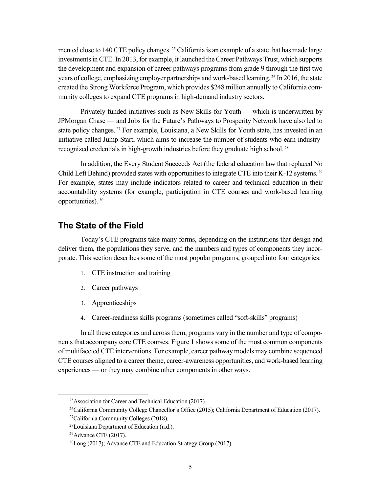mented close to 140 CTE policy changes.<sup>[25](#page-8-0)</sup> California is an example of a state that has made large investments in CTE. In 2013, for example, it launched the Career Pathways Trust, which supports the development and expansion of career pathways programs from grade 9 through the first two years of college, emphasizing employer partnerships and work-based learning. [26](#page-8-1) In 2016, the state created the Strong Workforce Program, which provides \$248 million annually to California community colleges to expand CTE programs in high-demand industry sectors.

Privately funded initiatives such as New Skills for Youth — which is underwritten by JPMorgan Chase — and Jobs for the Future's Pathways to Prosperity Network have also led to state policy changes. [27](#page-8-2) For example, Louisiana, a New Skills for Youth state, has invested in an initiative called Jump Start, which aims to increase the number of students who earn industryrecognized credentials in high-growth industries before they graduate high school. [28](#page-8-3)

In addition, the Every Student Succeeds Act (the federal education law that replaced No Child Left Behind) provided states with opportunities to integrate CTE into their K-12 systems. [29](#page-8-4) For example, states may include indicators related to career and technical education in their accountability systems (for example, participation in CTE courses and work-based learning opportunities). [30](#page-8-5)

### **The State of the Field**

Today's CTE programs take many forms, depending on the institutions that design and deliver them, the populations they serve, and the numbers and types of components they incorporate. This section describes some of the most popular programs, grouped into four categories:

- 1. CTE instruction and training
- 2. Career pathways
- 3. Apprenticeships
- 4. Career-readiness skills programs (sometimes called "soft-skills" programs)

In all these categories and across them, programs vary in the number and type of components that accompany core CTE courses. Figure 1 shows some of the most common components of multifaceted CTE interventions. For example, career pathway models may combine sequenced CTE courses aligned to a career theme, career-awareness opportunities, and work-based learning experiences — or they may combine other components in other ways.

<span id="page-8-0"></span><sup>&</sup>lt;sup>25</sup>Association for Career and Technical Education (2017).

<span id="page-8-1"></span><sup>26</sup>California Community College Chancellor's Office (2015); California Department of Education (2017).

<span id="page-8-2"></span><sup>27</sup>California Community Colleges (2018).

<span id="page-8-3"></span><sup>28</sup>Louisiana Department of Education (n.d.).

<span id="page-8-4"></span><sup>29</sup>Advance CTE (2017).

<span id="page-8-5"></span><sup>30</sup>Long (2017); Advance CTE and Education Strategy Group (2017).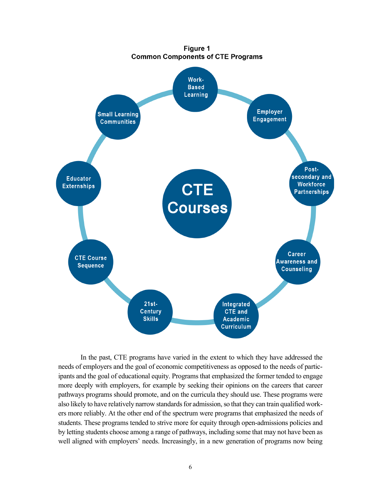

In the past, CTE programs have varied in the extent to which they have addressed the needs of employers and the goal of economic competitiveness as opposed to the needs of participants and the goal of educational equity. Programs that emphasized the former tended to engage more deeply with employers, for example by seeking their opinions on the careers that career pathways programs should promote, and on the curricula they should use. These programs were also likely to have relatively narrow standards for admission, so that they can train qualified workers more reliably. At the other end of the spectrum were programs that emphasized the needs of students. These programs tended to strive more for equity through open-admissions policies and by letting students choose among a range of pathways, including some that may not have been as well aligned with employers' needs. Increasingly, in a new generation of programs now being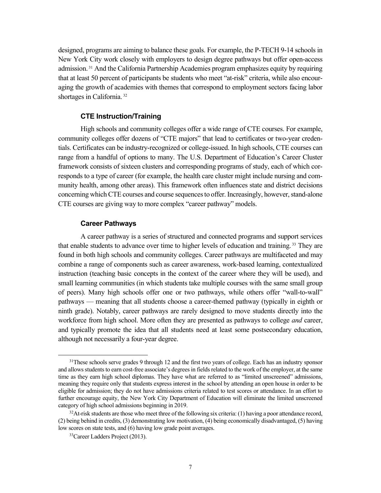designed, programs are aiming to balance these goals. For example, the P-TECH 9-14 schools in New York City work closely with employers to design degree pathways but offer open-access admission.<sup>[31](#page-10-0)</sup> And the California Partnership Academies program emphasizes equity by requiring that at least 50 percent of participants be students who meet "at-risk" criteria, while also encouraging the growth of academies with themes that correspond to employment sectors facing labor shortages in California.<sup>[32](#page-10-1)</sup>

#### **CTE Instruction/Training**

High schools and community colleges offer a wide range of CTE courses. For example, community colleges offer dozens of "CTE majors" that lead to certificates or two-year credentials. Certificates can be industry-recognized or college-issued. In high schools, CTE courses can range from a handful of options to many. The U.S. Department of Education's Career Cluster framework consists of sixteen clusters and corresponding programs of study, each of which corresponds to a type of career (for example, the health care cluster might include nursing and community health, among other areas). This framework often influences state and district decisions concerning which CTE courses and course sequences to offer. Increasingly, however, stand-alone CTE courses are giving way to more complex "career pathway" models.

#### **Career Pathways**

A career pathway is a series of structured and connected programs and support services that enable students to advance over time to higher levels of education and training. [33](#page-10-2) They are found in both high schools and community colleges. Career pathways are multifaceted and may combine a range of components such as career awareness, work-based learning, contextualized instruction (teaching basic concepts in the context of the career where they will be used), and small learning communities (in which students take multiple courses with the same small group of peers). Many high schools offer one or two pathways, while others offer "wall-to-wall" pathways — meaning that all students choose a career-themed pathway (typically in eighth or ninth grade). Notably, career pathways are rarely designed to move students directly into the workforce from high school. More often they are presented as pathways to college *and* career, and typically promote the idea that all students need at least some postsecondary education, although not necessarily a four-year degree.

<span id="page-10-0"></span><sup>&</sup>lt;sup>31</sup>These schools serve grades 9 through 12 and the first two years of college. Each has an industry sponsor and allowsstudents to earn cost-free associate's degrees in fields related to the work of the employer, at the same time as they earn high school diplomas. They have what are referred to as "limited unscreened" admissions, meaning they require only that students express interest in the school by attending an open house in order to be eligible for admission; they do not have admissions criteria related to test scores or attendance. In an effort to further encourage equity, the New York City Department of Education will eliminate the limited unscreened category of high school admissions beginning in 2019.

<span id="page-10-2"></span><span id="page-10-1"></span> $32$ At-risk students are those who meet three of the following six criteria: (1) having a poor attendance record, (2) being behind in credits, (3) demonstrating low motivation, (4) being economically disadvantaged, (5) having low scores on state tests, and (6) having low grade point averages.

<sup>33</sup>Career Ladders Project (2013).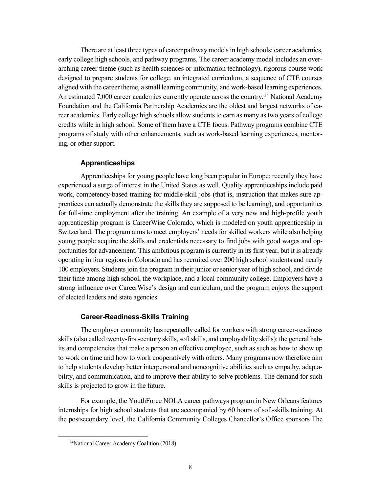There are at least three types of career pathway models in high schools: career academies, early college high schools, and pathway programs. The career academy model includes an overarching career theme (such as health sciences or information technology), rigorous course work designed to prepare students for college, an integrated curriculum, a sequence of CTE courses aligned with the career theme, a small learning community, and work-based learning experiences. An estimated 7,000 career academies currently operate across the country.<sup>[34](#page-11-0)</sup> National Academy Foundation and the California Partnership Academies are the oldest and largest networks of career academies. Early college high schools allow students to earn as many as two years of college credits while in high school. Some of them have a CTE focus. Pathway programs combine CTE programs of study with other enhancements, such as work-based learning experiences, mentoring, or other support.

#### **Apprenticeships**

Apprenticeships for young people have long been popular in Europe; recently they have experienced a surge of interest in the United States as well. Quality apprenticeships include paid work, competency-based training for middle-skill jobs (that is, instruction that makes sure apprentices can actually demonstrate the skills they are supposed to be learning), and opportunities for full-time employment after the training. An example of a very new and high-profile youth apprenticeship program is CareerWise Colorado, which is modeled on youth apprenticeship in Switzerland. The program aims to meet employers' needs for skilled workers while also helping young people acquire the skills and credentials necessary to find jobs with good wages and opportunities for advancement. This ambitious program is currently in its first year, but it is already operating in four regions in Colorado and has recruited over 200 high school students and nearly 100 employers. Students join the program in their junior or senior year of high school, and divide their time among high school, the workplace, and a local community college. Employers have a strong influence over CareerWise's design and curriculum, and the program enjoys the support of elected leaders and state agencies.

#### **Career-Readiness-Skills Training**

The employer community has repeatedly called for workers with strong career-readiness skills (also called twenty-first-century skills, soft skills, and employability skills): the general habits and competencies that make a person an effective employee, such as such as how to show up to work on time and how to work cooperatively with others. Many programs now therefore aim to help students develop better interpersonal and noncognitive abilities such as empathy, adaptability, and communication, and to improve their ability to solve problems. The demand for such skills is projected to grow in the future.

For example, the YouthForce NOLA career pathways program in New Orleans features internships for high school students that are accompanied by 60 hours of soft-skills training. At the postsecondary level, the California Community Colleges Chancellor's Office sponsors The

<span id="page-11-0"></span> <sup>34</sup>National Career Academy Coalition (2018).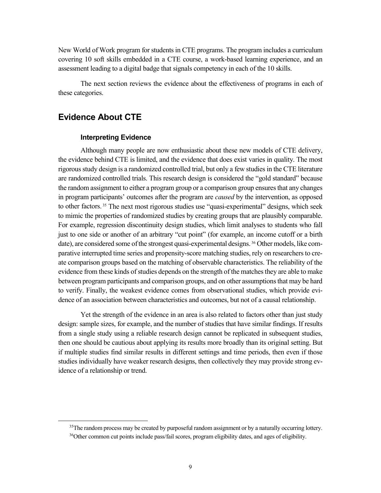New World of Work program for students in CTE programs. The program includes a curriculum covering 10 soft skills embedded in a CTE course, a work-based learning experience, and an assessment leading to a digital badge that signals competency in each of the 10 skills.

The next section reviews the evidence about the effectiveness of programs in each of these categories.

## **Evidence About CTE**

#### **Interpreting Evidence**

Although many people are now enthusiastic about these new models of CTE delivery, the evidence behind CTE is limited, and the evidence that does exist varies in quality. The most rigorous study design is a randomized controlled trial, but only a few studiesin the CTE literature are randomized controlled trials. This research design is considered the "gold standard" because the random assignment to either a program group or a comparison group ensures that any changes in program participants' outcomes after the program are *caused* by the intervention, as opposed to other factors. [35](#page-12-0) The next most rigorous studies use "quasi-experimental" designs, which seek to mimic the properties of randomized studies by creating groups that are plausibly comparable. For example, regression discontinuity design studies, which limit analyses to students who fall just to one side or another of an arbitrary "cut point" (for example, an income cutoff or a birth date), are considered some of the strongest quasi-experimental designs. [36](#page-12-1) Other models, like comparative interrupted time series and propensity-score matching studies, rely on researchers to create comparison groups based on the matching of observable characteristics. The reliability of the evidence from these kinds of studies depends on the strength of the matches they are able to make between program participants and comparison groups, and on other assumptions that may be hard to verify. Finally, the weakest evidence comes from observational studies, which provide evidence of an association between characteristics and outcomes, but not of a causal relationship.

Yet the strength of the evidence in an area is also related to factors other than just study design: sample sizes, for example, and the number of studies that have similar findings. If results from a single study using a reliable research design cannot be replicated in subsequent studies, then one should be cautious about applying its results more broadly than its original setting. But if multiple studies find similar results in different settings and time periods, then even if those studies individually have weaker research designs, then collectively they may provide strong evidence of a relationship or trend.

<span id="page-12-1"></span><span id="page-12-0"></span><sup>&</sup>lt;sup>35</sup>The random process may be created by purposeful random assignment or by a naturally occurring lottery. <sup>36</sup>Other common cut points include pass/fail scores, program eligibility dates, and ages of eligibility.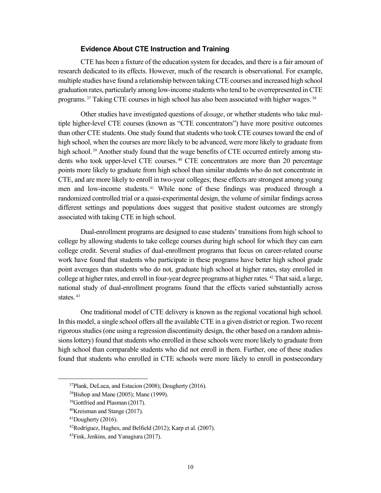#### **Evidence About CTE Instruction and Training**

CTE has been a fixture of the education system for decades, and there is a fair amount of research dedicated to its effects. However, much of the research is observational. For example, multiple studies have found a relationship between taking CTE courses and increased high school graduation rates, particularly among low-income students who tend to be overrepresented in CTE programs. [37](#page-13-0) Taking CTE courses in high school has also been associated with higher wages. [38](#page-13-1)

Other studies have investigated questions of *dosage*, or whether students who take multiple higher-level CTE courses (known as "CTE concentrators") have more positive outcomes than other CTE students. One study found that students who took CTE courses toward the end of high school, when the courses are more likely to be advanced, were more likely to graduate from high school. <sup>[39](#page-13-2)</sup> Another study found that the wage benefits of CTE occurred entirely among students who took upper-level CTE courses. [40](#page-13-3) CTE concentrators are more than 20 percentage points more likely to graduate from high school than similar students who do not concentrate in CTE, and are more likely to enroll in two-year colleges; these effects are strongest among young men and low-income students. [41](#page-13-4) While none of these findings was produced through a randomized controlled trial or a quasi-experimental design, the volume of similar findings across different settings and populations does suggest that positive student outcomes are strongly associated with taking CTE in high school.

Dual-enrollment programs are designed to ease students' transitions from high school to college by allowing students to take college courses during high school for which they can earn college credit. Several studies of dual-enrollment programs that focus on career-related course work have found that students who participate in these programs have better high school grade point averages than students who do not, graduate high school at higher rates, stay enrolled in college at higher rates, and enroll in four-year degree programs at higher rates. [42](#page-13-5) That said, a large, national study of dual-enrollment programs found that the effects varied substantially across states.  $43$ 

One traditional model of CTE delivery is known as the regional vocational high school. In this model, a single school offers all the available CTE in a given district or region. Two recent rigorous studies(one using a regression discontinuity design, the other based on a random admissions lottery) found that students who enrolled in these schools were more likely to graduate from high school than comparable students who did not enroll in them. Further, one of these studies found that students who enrolled in CTE schools were more likely to enroll in postsecondary

<span id="page-13-1"></span><span id="page-13-0"></span><sup>37</sup>Plank, DeLuca, and Estacion (2008); Dougherty (2016).

<sup>38</sup>Bishop and Mane (2005); Mane (1999).

<span id="page-13-2"></span><sup>39</sup>Gottfried and Plasman (2017).

<sup>40</sup>Kreisman and Stange (2017).

<span id="page-13-4"></span><span id="page-13-3"></span> $41$ Dougherty (2016).

<span id="page-13-5"></span><sup>42</sup>Rodríguez, Hughes, and Belfield (2012); Karp et al. (2007).

<span id="page-13-6"></span><sup>43</sup>Fink, Jenkins, and Yanagiura (2017).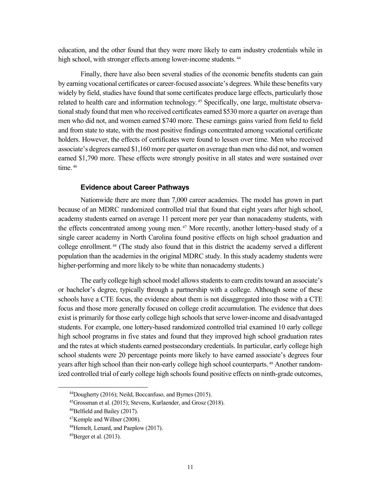education, and the other found that they were more likely to earn industry credentials while in high school, with stronger effects among lower-income students.<sup>[44](#page-14-0)</sup>

Finally, there have also been several studies of the economic benefits students can gain by earning vocational certificates or career-focused associate's degrees. While these benefits vary widely by field, studies have found that some certificates produce large effects, particularly those related to health care and information technology. [45](#page-14-1) Specifically, one large, multistate observational study found that men who received certificates earned \$530 more a quarter on average than men who did not, and women earned \$740 more. These earnings gains varied from field to field and from state to state, with the most positive findings concentrated among vocational certificate holders. However, the effects of certificates were found to lessen over time. Men who received associate's degrees earned \$1,160 more per quarter on average than men who did not, and women earned \$1,790 more. These effects were strongly positive in all states and were sustained over time.  $46$ 

#### **Evidence about Career Pathways**

Nationwide there are more than 7,000 career academies. The model has grown in part because of an MDRC randomized controlled trial that found that eight years after high school, academy students earned on average 11 percent more per year than nonacademy students, with the effects concentrated among young men. [47](#page-14-3) More recently, another lottery-based study of a single career academy in North Carolina found positive effects on high school graduation and college enrollment. [48](#page-14-4) (The study also found that in this district the academy served a different population than the academies in the original MDRC study. In this study academy students were higher-performing and more likely to be white than nonacademy students.)

The early college high school model allows students to earn credits toward an associate's or bachelor's degree, typically through a partnership with a college. Although some of these schools have a CTE focus, the evidence about them is not disaggregated into those with a CTE focus and those more generally focused on college credit accumulation. The evidence that does exist is primarily for those early college high schools that serve lower-income and disadvantaged students. For example, one lottery-based randomized controlled trial examined 10 early college high school programs in five states and found that they improved high school graduation rates and the rates at which students earned postsecondary credentials. In particular, early college high school students were 20 percentage points more likely to have earned associate's degrees four years after high school than their non-early college high school counterparts. [49](#page-14-5) Another randomized controlled trial of early college high schools found positive effects on ninth-grade outcomes,

<span id="page-14-0"></span> <sup>44</sup>Dougherty (2016); Neild, Boccanfuso, and Byrnes (2015).

<span id="page-14-2"></span><span id="page-14-1"></span><sup>45</sup>Grossman et al. (2015); Stevens, Kurlaender, and Grosz (2018).

<sup>46</sup>Belfield and Bailey (2017).

<span id="page-14-3"></span><sup>47</sup>Kemple and Willner (2008).

<span id="page-14-4"></span><sup>48</sup>Hemelt, Lenard, and Paeplow (2017).

<span id="page-14-5"></span><sup>49</sup>Berger et al. (2013).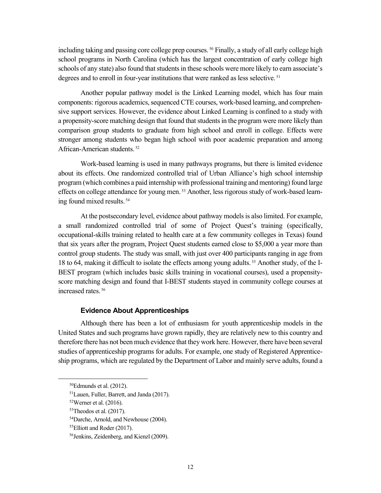including taking and passing core college prep courses. [50](#page-15-0) Finally, a study of all early college high school programs in North Carolina (which has the largest concentration of early college high schools of any state) also found that students in these schools were more likely to earn associate's degrees and to enroll in four-year institutions that were ranked as less selective.<sup>[51](#page-15-1)</sup>

Another popular pathway model is the Linked Learning model, which has four main components: rigorous academics, sequenced CTE courses, work-based learning, and comprehensive support services. However, the evidence about Linked Learning is confined to a study with a propensity-score matching design that found that students in the program were more likely than comparison group students to graduate from high school and enroll in college. Effects were stronger among students who began high school with poor academic preparation and among African-American students. [52](#page-15-2)

Work-based learning is used in many pathways programs, but there is limited evidence about its effects. One randomized controlled trial of Urban Alliance's high school internship program (which combines a paid internship with professional training and mentoring) found large effects on college attendance for young men. [53](#page-15-3) Another, less rigorous study of work-based learning found mixed results. [54](#page-15-4)

At the postsecondary level, evidence about pathway models is also limited. For example, a small randomized controlled trial of some of Project Quest's training (specifically, occupational-skills training related to health care at a few community colleges in Texas) found that six years after the program, Project Quest students earned close to \$5,000 a year more than control group students. The study was small, with just over 400 participants ranging in age from 18 to 64, making it difficult to isolate the effects among young adults. [55](#page-15-5) Another study, of the I-BEST program (which includes basic skills training in vocational courses), used a propensityscore matching design and found that I-BEST students stayed in community college courses at increased rates. [56](#page-15-6)

#### **Evidence About Apprenticeships**

Although there has been a lot of enthusiasm for youth apprenticeship models in the United States and such programs have grown rapidly, they are relatively new to this country and therefore there has not been much evidence that they work here. However, there have been several studies of apprenticeship programs for adults. For example, one study of Registered Apprenticeship programs, which are regulated by the Department of Labor and mainly serve adults, found a

<span id="page-15-0"></span> $50E$ dmunds et al. (2012).

<span id="page-15-1"></span><sup>51</sup>Lauen, Fuller, Barrett, and Janda (2017).

<span id="page-15-2"></span> $52$ Werner et al. (2016).

<span id="page-15-3"></span> $53$ Theodos et al. (2017).

<span id="page-15-4"></span><sup>54</sup>Darche, Arnold, and Newhouse (2004).

<span id="page-15-5"></span><sup>55</sup>Elliott and Roder (2017).

<span id="page-15-6"></span><sup>56</sup>Jenkins, Zeidenberg, and Kienzl (2009).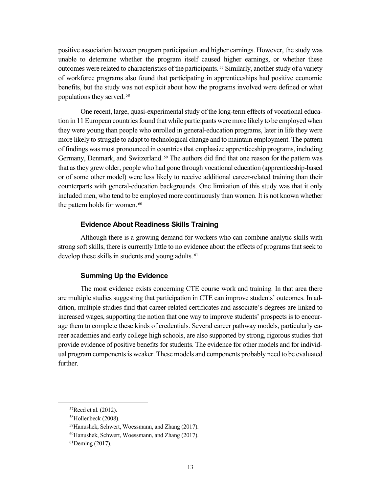positive association between program participation and higher earnings. However, the study was unable to determine whether the program itself caused higher earnings, or whether these outcomes were related to characteristics of the participants.<sup>[57](#page-16-0)</sup> Similarly, another study of a variety of workforce programs also found that participating in apprenticeships had positive economic benefits, but the study was not explicit about how the programs involved were defined or what populations they served. [58](#page-16-1)

One recent, large, quasi-experimental study of the long-term effects of vocational education in 11 European countries found that while participants were more likely to be employed when they were young than people who enrolled in general-education programs, later in life they were more likely to struggle to adapt to technological change and to maintain employment. The pattern of findings was most pronounced in countries that emphasize apprenticeship programs, including Germany, Denmark, and Switzerland.<sup>[59](#page-16-2)</sup> The authors did find that one reason for the pattern was that as they grew older, people who had gone through vocational education (apprenticeship-based or of some other model) were less likely to receive additional career-related training than their counterparts with general-education backgrounds. One limitation of this study was that it only included men, who tend to be employed more continuously than women. It is not known whether the pattern holds for women.<sup>[60](#page-16-3)</sup>

#### **Evidence About Readiness Skills Training**

Although there is a growing demand for workers who can combine analytic skills with strong soft skills, there is currently little to no evidence about the effects of programs that seek to develop these skills in students and young adults. <sup>[61](#page-16-4)</sup>

#### **Summing Up the Evidence**

The most evidence exists concerning CTE course work and training. In that area there are multiple studies suggesting that participation in CTE can improve students' outcomes. In addition, multiple studies find that career-related certificates and associate's degrees are linked to increased wages, supporting the notion that one way to improve students' prospects is to encourage them to complete these kinds of credentials. Several career pathway models, particularly career academies and early college high schools, are also supported by strong, rigorous studies that provide evidence of positive benefits for students. The evidence for other models and for individual program components is weaker. These models and components probably need to be evaluated further.

<span id="page-16-0"></span> <sup>57</sup>Reed et al. (2012).

<span id="page-16-1"></span><sup>58</sup>Hollenbeck (2008).

<span id="page-16-2"></span><sup>59</sup>Hanushek, Schwert, Woessmann, and Zhang (2017).

<span id="page-16-3"></span><sup>60</sup>Hanushek, Schwert, Woessmann, and Zhang (2017).

<span id="page-16-4"></span><sup>61</sup>Deming (2017).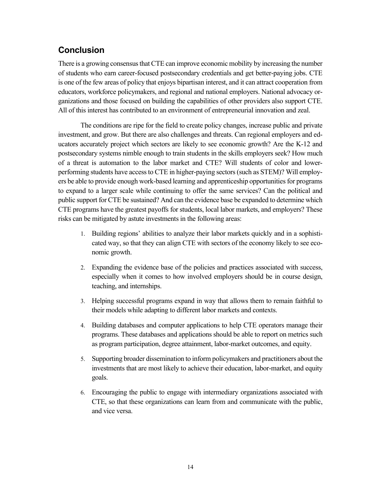## **Conclusion**

There is a growing consensus that CTE can improve economic mobility by increasing the number of students who earn career-focused postsecondary credentials and get better-paying jobs. CTE is one of the few areas of policy that enjoys bipartisan interest, and it can attract cooperation from educators, workforce policymakers, and regional and national employers. National advocacy organizations and those focused on building the capabilities of other providers also support CTE. All of this interest has contributed to an environment of entrepreneurial innovation and zeal.

The conditions are ripe for the field to create policy changes, increase public and private investment, and grow. But there are also challenges and threats. Can regional employers and educators accurately project which sectors are likely to see economic growth? Are the K-12 and postsecondary systems nimble enough to train students in the skills employers seek? How much of a threat is automation to the labor market and CTE? Will students of color and lowerperforming students have access to CTE in higher-paying sectors (such as STEM)? Will employers be able to provide enough work-based learning and apprenticeship opportunities for programs to expand to a larger scale while continuing to offer the same services? Can the political and public support for CTE be sustained? And can the evidence base be expanded to determine which CTE programs have the greatest payoffs for students, local labor markets, and employers? These risks can be mitigated by astute investments in the following areas:

- 1. Building regions' abilities to analyze their labor markets quickly and in a sophisticated way, so that they can align CTE with sectors of the economy likely to see economic growth.
- 2. Expanding the evidence base of the policies and practices associated with success, especially when it comes to how involved employers should be in course design, teaching, and internships.
- 3. Helping successful programs expand in way that allows them to remain faithful to their models while adapting to different labor markets and contexts.
- 4. Building databases and computer applications to help CTE operators manage their programs. These databases and applications should be able to report on metrics such as program participation, degree attainment, labor-market outcomes, and equity.
- 5. Supporting broader dissemination to inform policymakers and practitioners about the investments that are most likely to achieve their education, labor-market, and equity goals.
- 6. Encouraging the public to engage with intermediary organizations associated with CTE, so that these organizations can learn from and communicate with the public, and vice versa.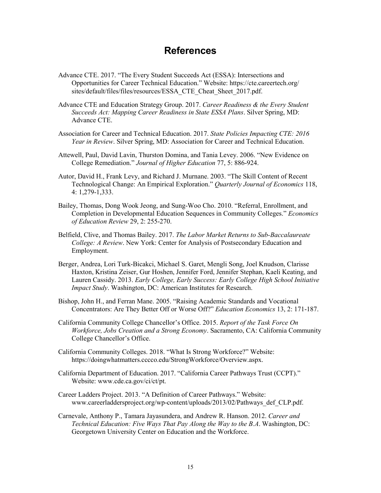## **References**

- Advance CTE. 2017. "The Every Student Succeeds Act (ESSA): Intersections and Opportunities for Career Technical Education." Website: https://cte.careertech.org/ sites/default/files/files/resources/ESSA\_CTE\_Cheat\_Sheet\_2017.pdf.
- Advance CTE and Education Strategy Group. 2017. *Career Readiness & the Every Student Succeeds Act: Mapping Career Readiness in State ESSA Plans*. Silver Spring, MD: Advance CTE.
- Association for Career and Technical Education. 2017. *State Policies Impacting CTE: 2016 Year in Review*. Silver Spring, MD: Association for Career and Technical Education.
- Attewell, Paul, David Lavin, Thurston Domina, and Tania Levey. 2006. "New Evidence on College Remediation." *Journal of Higher Education* 77, 5: 886-924.
- Autor, David H., Frank Levy, and Richard J. Murnane. 2003. "The Skill Content of Recent Technological Change: An Empirical Exploration." *Quarterly Journal of Economics* 118, 4: 1,279-1,333.
- Bailey, Thomas, Dong Wook Jeong, and Sung-Woo Cho. 2010. "Referral, Enrollment, and Completion in Developmental Education Sequences in Community Colleges." *Economics of Education Review* 29, 2: 255-270.
- Belfield, Clive, and Thomas Bailey. 2017. *The Labor Market Returns to Sub-Baccalaureate College: A Review*. New York: Center for Analysis of Postsecondary Education and Employment.
- Berger, Andrea, Lori Turk-Bicakci, Michael S. Garet, Mengli Song, Joel Knudson, Clarisse Haxton, Kristina Zeiser, Gur Hoshen, Jennifer Ford, Jennifer Stephan, Kaeli Keating, and Lauren Cassidy. 2013. *Early College, Early Success: Early College High School Initiative Impact Study*. Washington, DC: American Institutes for Research.
- Bishop, John H., and Ferran Mane. 2005. "Raising Academic Standards and Vocational Concentrators: Are They Better Off or Worse Off?" *Education Economics* 13, 2: 171-187.
- California Community College Chancellor's Office. 2015. *Report of the Task Force On Workforce, Jobs Creation and a Strong Economy*. Sacramento, CA: California Community College Chancellor's Office.
- California Community Colleges. 2018. "What Is Strong Workforce?" Website: https://doingwhatmatters.cccco.edu/StrongWorkforce/Overview.aspx.
- California Department of Education. 2017. "California Career Pathways Trust (CCPT)." Website: www.cde.ca.gov/ci/ct/pt.
- Career Ladders Project. 2013. "A Definition of Career Pathways." Website: www.careerladdersproject.org/wp-content/uploads/2013/02/Pathways\_def\_CLP.pdf.
- Carnevale, Anthony P., Tamara Jayasundera, and Andrew R. Hanson. 2012. *Career and Technical Education: Five Ways That Pay Along the Way to the B.A*. Washington, DC: Georgetown University Center on Education and the Workforce.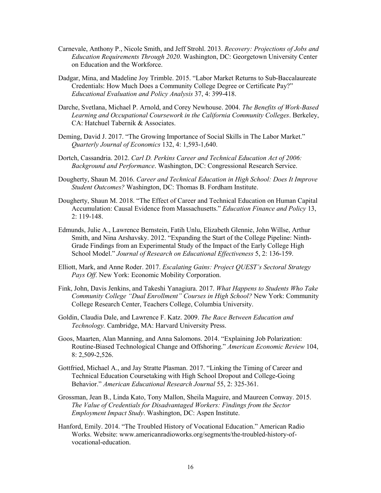- Carnevale, Anthony P., Nicole Smith, and Jeff Strohl. 2013. *Recovery: Projections of Jobs and Education Requirements Through 2020*. Washington, DC: Georgetown University Center on Education and the Workforce.
- Dadgar, Mina, and Madeline Joy Trimble. 2015. "Labor Market Returns to Sub-Baccalaureate Credentials: How Much Does a Community College Degree or Certificate Pay?" *Educational Evaluation and Policy Analysis* 37, 4: 399-418.
- Darche, Svetlana, Michael P. Arnold, and Corey Newhouse. 2004. *The Benefits of Work-Based Learning and Occupational Coursework in the California Community Colleges*. Berkeley, CA: Hatchuel Tabernik & Associates.
- Deming, David J. 2017. "The Growing Importance of Social Skills in The Labor Market." *Quarterly Journal of Economics* 132, 4: 1,593-1,640.
- Dortch, Cassandria. 2012. *Carl D. Perkins Career and Technical Education Act of 2006: Background and Performance*. Washington, DC: Congressional Research Service.
- Dougherty, Shaun M. 2016. *Career and Technical Education in High School: Does It Improve Student Outcomes?* Washington, DC: Thomas B. Fordham Institute.
- Dougherty, Shaun M. 2018. "The Effect of Career and Technical Education on Human Capital Accumulation: Causal Evidence from Massachusetts." *Education Finance and Policy* 13, 2: 119-148.
- Edmunds, Julie A., Lawrence Bernstein, Fatih Unlu, Elizabeth Glennie, John Willse, Arthur Smith, and Nina Arshavsky. 2012. "Expanding the Start of the College Pipeline: Ninth-Grade Findings from an Experimental Study of the Impact of the Early College High School Model." *Journal of Research on Educational Effectiveness* 5, 2: 136-159.
- Elliott, Mark, and Anne Roder. 2017. *Escalating Gains: Project QUEST's Sectoral Strategy Pays Off*. New York: Economic Mobility Corporation.
- Fink, John, Davis Jenkins, and Takeshi Yanagiura. 2017. *What Happens to Students Who Take Community College "Dual Enrollment" Courses in High School?* New York: Community College Research Center, Teachers College, Columbia University.
- Goldin, Claudia Dale, and Lawrence F. Katz. 2009. *The Race Between Education and Technology.* Cambridge, MA: Harvard University Press.
- Goos, Maarten, Alan Manning, and Anna Salomons. 2014. "Explaining Job Polarization: Routine-Biased Technological Change and Offshoring." *American Economic Review* 104, 8: 2,509-2,526.
- Gottfried, Michael A., and Jay Stratte Plasman. 2017. "Linking the Timing of Career and Technical Education Coursetaking with High School Dropout and College-Going Behavior." *American Educational Research Journal* 55, 2: 325-361.
- Grossman, Jean B., Linda Kato, Tony Mallon, Sheila Maguire, and Maureen Conway. 2015. *The Value of Credentials for Disadvantaged Workers: Findings from the Sector Employment Impact Study*. Washington, DC: Aspen Institute.
- Hanford, Emily. 2014. "The Troubled History of Vocational Education." American Radio Works. Website: www.americanradioworks.org/segments/the-troubled-history-ofvocational-education.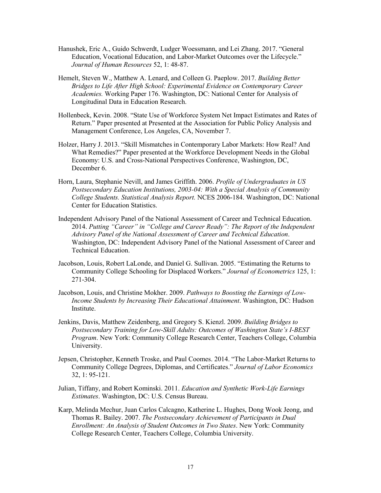- Hanushek, Eric A., Guido Schwerdt, Ludger Woessmann, and Lei Zhang. 2017. "General Education, Vocational Education, and Labor-Market Outcomes over the Lifecycle." *Journal of Human Resources* 52, 1: 48-87.
- Hemelt, Steven W., Matthew A. Lenard, and Colleen G. Paeplow. 2017. *Building Better Bridges to Life After High School: Experimental Evidence on Contemporary Career Academies.* Working Paper 176. Washington, DC: National Center for Analysis of Longitudinal Data in Education Research.
- Hollenbeck, Kevin. 2008. "State Use of Workforce System Net Impact Estimates and Rates of Return." Paper presented at Presented at the Association for Public Policy Analysis and Management Conference, Los Angeles, CA, November 7.
- Holzer, Harry J. 2013. "Skill Mismatches in Contemporary Labor Markets: How Real? And What Remedies?" Paper presented at the Workforce Development Needs in the Global Economy: U.S. and Cross-National Perspectives Conference, Washington, DC, December 6.
- Horn, Laura, Stephanie Nevill, and James Griffith. 2006. *Profile of Undergraduates in US Postsecondary Education Institutions, 2003-04: With a Special Analysis of Community College Students. Statistical Analysis Report.* NCES 2006-184. Washington, DC: National Center for Education Statistics.
- Independent Advisory Panel of the National Assessment of Career and Technical Education. 2014. *Putting "Career" in "College and Career Ready": The Report of the Independent Advisory Panel of the National Assessment of Career and Technical Education*. Washington, DC: Independent Advisory Panel of the National Assessment of Career and Technical Education.
- Jacobson, Louis, Robert LaLonde, and Daniel G. Sullivan. 2005. "Estimating the Returns to Community College Schooling for Displaced Workers." *Journal of Econometrics* 125, 1: 271-304.
- Jacobson, Louis, and Christine Mokher. 2009. *Pathways to Boosting the Earnings of Low-Income Students by Increasing Their Educational Attainment*. Washington, DC: Hudson Institute.
- Jenkins, Davis, Matthew Zeidenberg, and Gregory S. Kienzl. 2009. *Building Bridges to Postsecondary Training for Low-Skill Adults: Outcomes of Washington State's I-BEST Program*. New York: Community College Research Center, Teachers College, Columbia University.
- Jepsen, Christopher, Kenneth Troske, and Paul Coomes. 2014. "The Labor-Market Returns to Community College Degrees, Diplomas, and Certificates." *Journal of Labor Economics* 32, 1: 95-121.
- Julian, Tiffany, and Robert Kominski. 2011. *Education and Synthetic Work-Life Earnings Estimates*. Washington, DC: U.S. Census Bureau.
- Karp, Melinda Mechur, Juan Carlos Calcagno, Katherine L. Hughes, Dong Wook Jeong, and Thomas R. Bailey. 2007. *The Postsecondary Achievement of Participants in Dual Enrollment: An Analysis of Student Outcomes in Two States*. New York: Community College Research Center, Teachers College, Columbia University.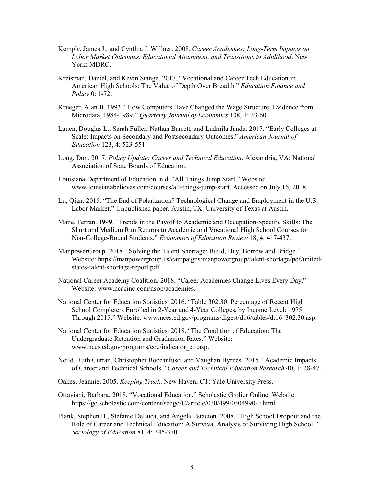- Kemple, James J., and Cynthia J. Willner. 2008. *Career Academies: Long-Term Impacts on Labor Market Outcomes, Educational Attainment, and Transitions to Adulthood*. New York: MDRC.
- Kreisman, Daniel, and Kevin Stange. 2017. "Vocational and Career Tech Education in American High Schools: The Value of Depth Over Breadth." *Education Finance and Policy* 0: 1-72.
- Krueger, Alan B. 1993. "How Computers Have Changed the Wage Structure: Evidence from Microdata, 1984-1989." *Quarterly Journal of Economics* 108, 1: 33-60.
- Lauen, Douglas L., Sarah Fuller, Nathan Barrett, and Ludmila Janda. 2017. "Early Colleges at Scale: Impacts on Secondary and Postsecondary Outcomes." *American Journal of Education* 123, 4: 523-551.
- Long, Don. 2017. *Policy Update: Career and Technical Education*. Alexandria, VA: National Association of State Boards of Education.
- Louisiana Department of Education. n.d. "All Things Jump Start." Website: www.louisianabelieves.com/courses/all-things-jump-start. Accessed on July 16, 2018.
- Lu, Qian. 2015. "The End of Polarization? Technological Change and Employment in the U.S. Labor Market." Unpublished paper. Austin, TX: University of Texas at Austin.
- Mane, Ferran. 1999. "Trends in the Payoff to Academic and Occupation-Specific Skills: The Short and Medium Run Returns to Academic and Vocational High School Courses for Non-College-Bound Students." *Economics of Education Review* 18, 4: 417-437.
- ManpowerGroup. 2018. "Solving the Talent Shortage: Build, Buy, Borrow and Bridge." Website: https://manpowergroup.us/campaigns/manpowergroup/talent-shortage/pdf/unitedstates-talent-shortage-report.pdf.
- National Career Academy Coalition. 2018. "Career Academies Change Lives Every Day." Website: www.ncacinc.com/nsop/academies.
- National Center for Education Statistics. 2016. "Table 302.30. Percentage of Recent High School Completers Enrolled in 2-Year and 4-Year Colleges, by Income Level: 1975 Through 2015." Website: www.nces.ed.gov/programs/digest/d16/tables/dt16\_302.30.asp.
- National Center for Education Statistics. 2018. "The Condition of Education: The Undergraduate Retention and Graduation Rates." Website: www.nces.ed.gov/programs/coe/indicator\_ctr.asp.
- Neild, Ruth Curran, Christopher Boccanfuso, and Vaughan Byrnes. 2015. "Academic Impacts of Career and Technical Schools." *Career and Technical Education Research* 40, 1: 28-47.
- Oakes, Jeannie. 2005. *Keeping Track*. New Haven, CT: Yale University Press.
- Ottaviani, Barbara. 2018. "Vocational Education." Scholastic Grolier Online. Website: https://go.scholastic.com/content/schgo/C/article/030/499/0304990-0.html.
- Plank, Stephen B., Stefanie DeLuca, and Angela Estacion. 2008. "High School Dropout and the Role of Career and Technical Education: A Survival Analysis of Surviving High School." *Sociology of Education* 81, 4: 345-370.